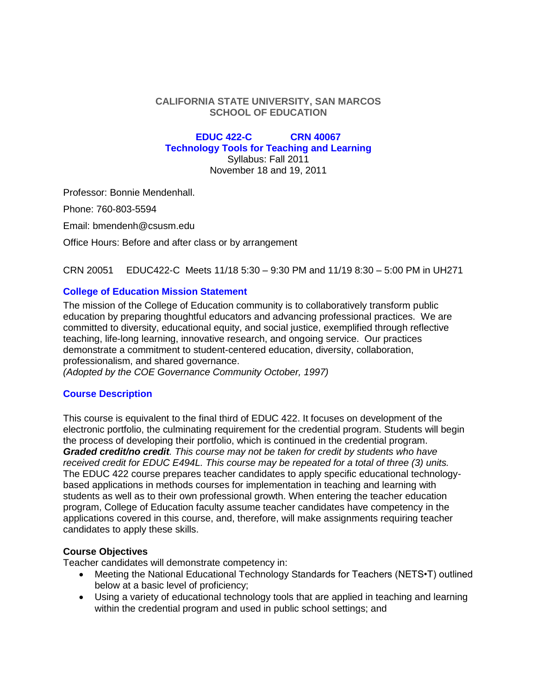#### **CALIFORNIA STATE UNIVERSITY, SAN MARCOS SCHOOL OF EDUCATION**

#### **EDUC 422-C CRN 40067 Technology Tools for Teaching and Learning** Syllabus: Fall 2011

November 18 and 19, 2011

Professor: Bonnie Mendenhall.

Phone: 760-803-5594

Email: bmendenh@csusm.edu

Office Hours: Before and after class or by arrangement

CRN 20051 EDUC422-C Meets 11/18 5:30 – 9:30 PM and 11/19 8:30 – 5:00 PM in UH271

## **College of Education Mission Statement**

The mission of the College of Education community is to collaboratively transform public education by preparing thoughtful educators and advancing professional practices. We are committed to diversity, educational equity, and social justice, exemplified through reflective teaching, life-long learning, innovative research, and ongoing service. Our practices demonstrate a commitment to student-centered education, diversity, collaboration, professionalism, and shared governance.

*(Adopted by the COE Governance Community October, 1997)*

## **Course Description**

This course is equivalent to the final third of EDUC 422. It focuses on development of the electronic portfolio, the culminating requirement for the credential program. Students will begin the process of developing their portfolio, which is continued in the credential program. *Graded credit/no credit. This course may not be taken for credit by students who have received credit for EDUC E494L. This course may be repeated for a total of three (3) units.*  The EDUC 422 course prepares teacher candidates to apply specific educational technologybased applications in methods courses for implementation in teaching and learning with students as well as to their own professional growth. When entering the teacher education program, College of Education faculty assume teacher candidates have competency in the applications covered in this course, and, therefore, will make assignments requiring teacher candidates to apply these skills.

## **Course Objectives**

Teacher candidates will demonstrate competency in:

- Meeting the National Educational Technology Standards for Teachers (NETS•T) outlined below at a basic level of proficiency;
- Using a variety of educational technology tools that are applied in teaching and learning within the credential program and used in public school settings; and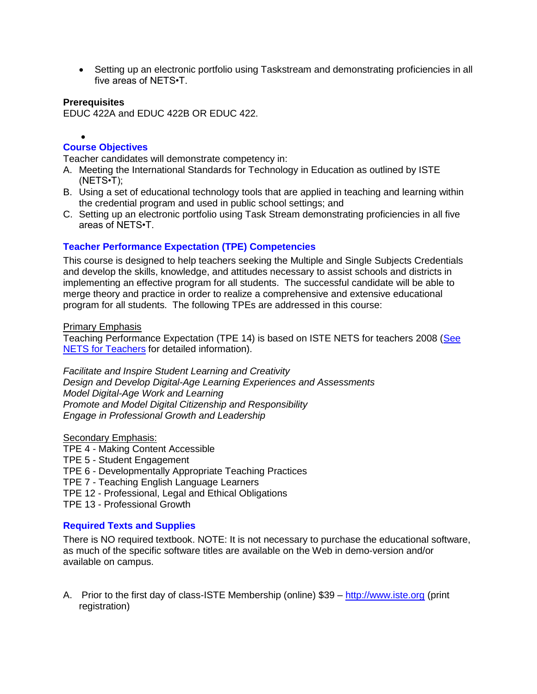• Setting up an electronic portfolio using Taskstream and demonstrating proficiencies in all five areas of NETS•T.

#### **Prerequisites**

EDUC 422A and EDUC 422B OR EDUC 422.

#### $\bullet$ **Course Objectives**

Teacher candidates will demonstrate competency in:

- A. Meeting the International Standards for Technology in Education as outlined by ISTE (NETS•T);
- B. Using a set of educational technology tools that are applied in teaching and learning within the credential program and used in public school settings; and
- C. Setting up an electronic portfolio using Task Stream demonstrating proficiencies in all five areas of NETS•T.

## **Teacher Performance Expectation (TPE) Competencies**

This course is designed to help teachers seeking the Multiple and Single Subjects Credentials and develop the skills, knowledge, and attitudes necessary to assist schools and districts in implementing an effective program for all students. The successful candidate will be able to merge theory and practice in order to realize a comprehensive and extensive educational program for all students. The following TPEs are addressed in this course:

#### Primary Emphasis

Teaching Performance Expectation (TPE 14) is based on ISTE NETS for teachers 2008 (See [NETS for Teachers](http://www.iste.org/Content/NavigationMenu/NETS/ForTeachers/2008Standards/NETS_T_Standards_Final.pdf) for detailed information).

*Facilitate and Inspire Student Learning and Creativity Design and Develop Digital-Age Learning Experiences and Assessments Model Digital-Age Work and Learning Promote and Model Digital Citizenship and Responsibility Engage in Professional Growth and Leadership*

## Secondary Emphasis:

- TPE 4 Making Content Accessible
- TPE 5 Student Engagement
- TPE 6 Developmentally Appropriate Teaching Practices
- TPE 7 Teaching English Language Learners
- TPE 12 Professional, Legal and Ethical Obligations
- TPE 13 Professional Growth

## **Required Texts and Supplies**

There is NO required textbook. NOTE: It is not necessary to purchase the educational software, as much of the specific software titles are available on the Web in demo-version and/or available on campus.

A. Prior to the first day of class-ISTE Membership (online) \$39 – [http://www.iste.org](http://www.iste.org/) (print registration)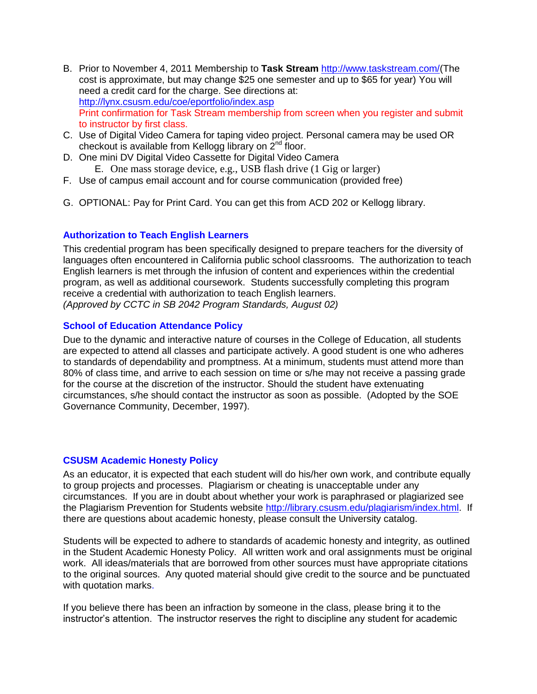- B. Prior to November 4, 2011 Membership to **Task Stream** [http://www.taskstream.com/\(](http://www.taskstream.com/)The cost is approximate, but may change \$25 one semester and up to \$65 for year) You will need a credit card for the charge. See directions at: <http://lynx.csusm.edu/coe/eportfolio/index.asp> Print confirmation for Task Stream membership from screen when you register and submit to instructor by first class.
- C. Use of Digital Video Camera for taping video project. Personal camera may be used OR checkout is available from Kellogg library on 2<sup>nd</sup> floor.
- D. One mini DV Digital Video Cassette for Digital Video Camera E. One mass storage device, e.g., USB flash drive (1 Gig or larger)
- F. Use of campus email account and for course communication (provided free)
- G. OPTIONAL: Pay for Print Card. You can get this from ACD 202 or Kellogg library.

## **Authorization to Teach English Learners**

This credential program has been specifically designed to prepare teachers for the diversity of languages often encountered in California public school classrooms. The authorization to teach English learners is met through the infusion of content and experiences within the credential program, as well as additional coursework. Students successfully completing this program receive a credential with authorization to teach English learners. *(Approved by CCTC in SB 2042 Program Standards, August 02)*

## **School of Education Attendance Policy**

Due to the dynamic and interactive nature of courses in the College of Education, all students are expected to attend all classes and participate actively. A good student is one who adheres to standards of dependability and promptness. At a minimum, students must attend more than 80% of class time, and arrive to each session on time or s/he may not receive a passing grade for the course at the discretion of the instructor. Should the student have extenuating circumstances, s/he should contact the instructor as soon as possible. (Adopted by the SOE Governance Community, December, 1997).

## **CSUSM Academic Honesty Policy**

As an educator, it is expected that each student will do his/her own work, and contribute equally to group projects and processes. Plagiarism or cheating is unacceptable under any circumstances. If you are in doubt about whether your work is paraphrased or plagiarized see the Plagiarism Prevention for Students website [http://library.csusm.edu/plagiarism/index.html.](http://library.csusm.edu/plagiarism/index.html) If there are questions about academic honesty, please consult the University catalog.

Students will be expected to adhere to standards of academic honesty and integrity, as outlined in the Student Academic Honesty Policy. All written work and oral assignments must be original work. All ideas/materials that are borrowed from other sources must have appropriate citations to the original sources. Any quoted material should give credit to the source and be punctuated with quotation marks.

If you believe there has been an infraction by someone in the class, please bring it to the instructor's attention. The instructor reserves the right to discipline any student for academic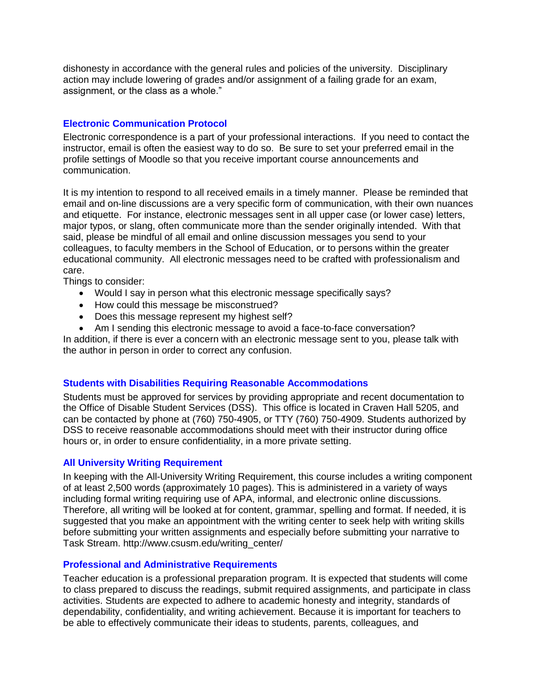dishonesty in accordance with the general rules and policies of the university. Disciplinary action may include lowering of grades and/or assignment of a failing grade for an exam, assignment, or the class as a whole."

# **Electronic Communication Protocol**

Electronic correspondence is a part of your professional interactions. If you need to contact the instructor, email is often the easiest way to do so. Be sure to set your preferred email in the profile settings of Moodle so that you receive important course announcements and communication.

It is my intention to respond to all received emails in a timely manner. Please be reminded that email and on-line discussions are a very specific form of communication, with their own nuances and etiquette. For instance, electronic messages sent in all upper case (or lower case) letters, major typos, or slang, often communicate more than the sender originally intended. With that said, please be mindful of all email and online discussion messages you send to your colleagues, to faculty members in the School of Education, or to persons within the greater educational community. All electronic messages need to be crafted with professionalism and care.

Things to consider:

- Would I say in person what this electronic message specifically says?
- How could this message be misconstrued?
- Does this message represent my highest self?
- Am I sending this electronic message to avoid a face-to-face conversation?

In addition, if there is ever a concern with an electronic message sent to you, please talk with the author in person in order to correct any confusion.

#### **Students with Disabilities Requiring Reasonable Accommodations**

Students must be approved for services by providing appropriate and recent documentation to the Office of Disable Student Services (DSS). This office is located in Craven Hall 5205, and can be contacted by phone at (760) 750-4905, or TTY (760) 750-4909. Students authorized by DSS to receive reasonable accommodations should meet with their instructor during office hours or, in order to ensure confidentiality, in a more private setting.

#### **All University Writing Requirement**

In keeping with the All-University Writing Requirement, this course includes a writing component of at least 2,500 words (approximately 10 pages). This is administered in a variety of ways including formal writing requiring use of APA, informal, and electronic online discussions. Therefore, all writing will be looked at for content, grammar, spelling and format. If needed, it is suggested that you make an appointment with the writing center to seek help with writing skills before submitting your written assignments and especially before submitting your narrative to Task Stream. http://www.csusm.edu/writing\_center/

## **Professional and Administrative Requirements**

Teacher education is a professional preparation program. It is expected that students will come to class prepared to discuss the readings, submit required assignments, and participate in class activities. Students are expected to adhere to academic honesty and integrity, standards of dependability, confidentiality, and writing achievement. Because it is important for teachers to be able to effectively communicate their ideas to students, parents, colleagues, and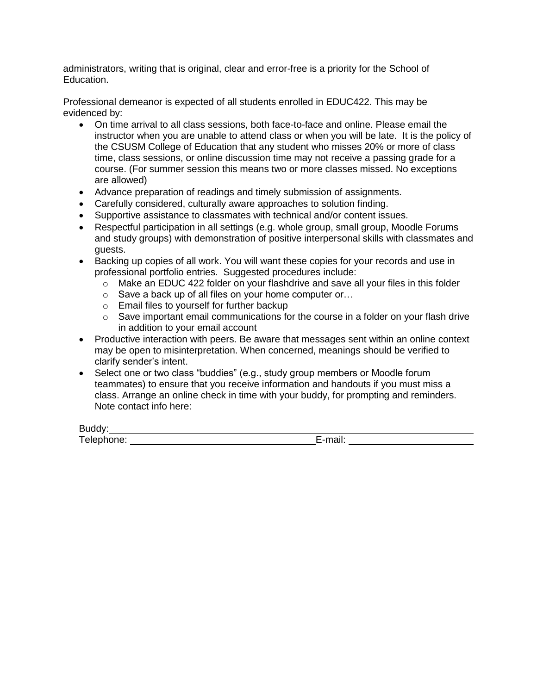administrators, writing that is original, clear and error-free is a priority for the School of Education.

Professional demeanor is expected of all students enrolled in EDUC422. This may be evidenced by:

- On time arrival to all class sessions, both face-to-face and online. Please email the instructor when you are unable to attend class or when you will be late. It is the policy of the CSUSM College of Education that any student who misses 20% or more of class time, class sessions, or online discussion time may not receive a passing grade for a course. (For summer session this means two or more classes missed. No exceptions are allowed)
- Advance preparation of readings and timely submission of assignments.
- Carefully considered, culturally aware approaches to solution finding.
- Supportive assistance to classmates with technical and/or content issues.
- Respectful participation in all settings (e.g. whole group, small group, Moodle Forums and study groups) with demonstration of positive interpersonal skills with classmates and guests.
- Backing up copies of all work. You will want these copies for your records and use in professional portfolio entries. Suggested procedures include:
	- $\circ$  Make an EDUC 422 folder on your flashdrive and save all your files in this folder
	- o Save a back up of all files on your home computer or…
	- o Email files to yourself for further backup
	- $\circ$  Save important email communications for the course in a folder on your flash drive in addition to your email account
- Productive interaction with peers. Be aware that messages sent within an online context may be open to misinterpretation. When concerned, meanings should be verified to clarify sender's intent.
- Select one or two class "buddies" (e.g., study group members or Moodle forum teammates) to ensure that you receive information and handouts if you must miss a class. Arrange an online check in time with your buddy, for prompting and reminders. Note contact info here:

Buddy:

Telephone: E-mail: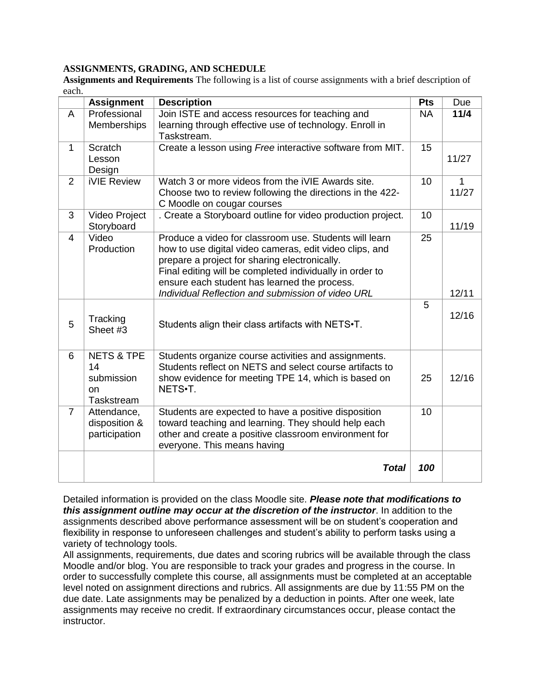#### **ASSIGNMENTS, GRADING, AND SCHEDULE**

**Assignments and Requirements** The following is a list of course assignments with a brief description of each.

|                | <b>Assignment</b>                                             | <b>Description</b>                                                                                                                                                                                                                                                                                                                  | <b>Pts</b> | Due                   |
|----------------|---------------------------------------------------------------|-------------------------------------------------------------------------------------------------------------------------------------------------------------------------------------------------------------------------------------------------------------------------------------------------------------------------------------|------------|-----------------------|
| A              | Professional                                                  | Join ISTE and access resources for teaching and                                                                                                                                                                                                                                                                                     | <b>NA</b>  | 11/4                  |
|                | Memberships                                                   | learning through effective use of technology. Enroll in<br>Taskstream.                                                                                                                                                                                                                                                              |            |                       |
| $\mathbf{1}$   | Scratch                                                       | Create a lesson using Free interactive software from MIT.                                                                                                                                                                                                                                                                           | 15         |                       |
|                | Lesson<br>Design                                              |                                                                                                                                                                                                                                                                                                                                     |            | 11/27                 |
| $\overline{2}$ | <b>iVIE Review</b>                                            | Watch 3 or more videos from the iVIE Awards site.<br>Choose two to review following the directions in the 422-<br>C Moodle on cougar courses                                                                                                                                                                                        | 10         | $\mathbf{1}$<br>11/27 |
| 3              | Video Project<br>Storyboard                                   | . Create a Storyboard outline for video production project.                                                                                                                                                                                                                                                                         | 10         | 11/19                 |
| $\overline{4}$ | Video<br>Production                                           | Produce a video for classroom use. Students will learn<br>how to use digital video cameras, edit video clips, and<br>prepare a project for sharing electronically.<br>Final editing will be completed individually in order to<br>ensure each student has learned the process.<br>Individual Reflection and submission of video URL | 25         | 12/11                 |
| 5              | Tracking<br>Sheet #3                                          | Students align their class artifacts with NETS.T.                                                                                                                                                                                                                                                                                   | 5          | 12/16                 |
| 6              | <b>NETS &amp; TPE</b><br>14<br>submission<br>on<br>Taskstream | Students organize course activities and assignments.<br>Students reflect on NETS and select course artifacts to<br>show evidence for meeting TPE 14, which is based on<br>NETS.T.                                                                                                                                                   | 25         | 12/16                 |
| $\overline{7}$ | Attendance,<br>disposition &<br>participation                 | Students are expected to have a positive disposition<br>toward teaching and learning. They should help each<br>other and create a positive classroom environment for<br>everyone. This means having                                                                                                                                 | 10         |                       |
|                |                                                               | <b>Total</b>                                                                                                                                                                                                                                                                                                                        | 100        |                       |

Detailed information is provided on the class Moodle site. *Please note that modifications to this assignment outline may occur at the discretion of the instructor*. In addition to the assignments described above performance assessment will be on student's cooperation and flexibility in response to unforeseen challenges and student's ability to perform tasks using a variety of technology tools.

All assignments, requirements, due dates and scoring rubrics will be available through the class Moodle and/or blog. You are responsible to track your grades and progress in the course. In order to successfully complete this course, all assignments must be completed at an acceptable level noted on assignment directions and rubrics. All assignments are due by 11:55 PM on the due date. Late assignments may be penalized by a deduction in points. After one week, late assignments may receive no credit. If extraordinary circumstances occur, please contact the instructor.